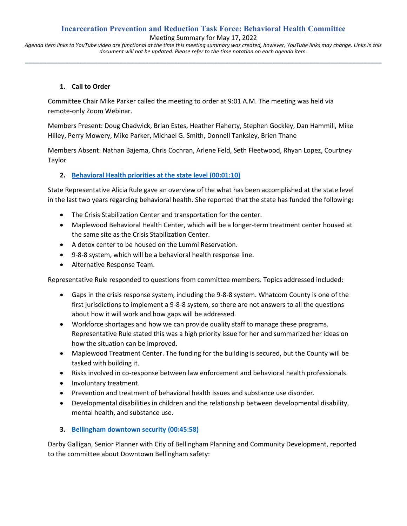# **Incarceration Prevention and Reduction Task Force: Behavioral Health Committee**

Meeting Summary for May 17, 2022

*Agenda item links to YouTube video are functional at the time this meeting summary was created, however, YouTube links may change. Links in this document will not be updated. Please refer to the time notation on each agenda item.* **\_\_\_\_\_\_\_\_\_\_\_\_\_\_\_\_\_\_\_\_\_\_\_\_\_\_\_\_\_\_\_\_\_\_\_\_\_\_\_\_\_\_\_\_\_\_\_\_\_\_\_\_\_\_\_\_\_\_\_\_\_\_\_\_\_\_\_\_\_\_\_\_\_\_\_\_\_\_\_\_\_\_\_\_\_\_\_\_\_\_\_\_\_\_\_\_\_\_**

### **1. Call to Order**

Committee Chair Mike Parker called the meeting to order at 9:01 A.M. The meeting was held via remote-only Zoom Webinar.

Members Present: Doug Chadwick, Brian Estes, Heather Flaherty, Stephen Gockley, Dan Hammill, Mike Hilley, Perry Mowery, Mike Parker, Michael G. Smith, Donnell Tanksley, Brien Thane

Members Absent: Nathan Bajema, Chris Cochran, Arlene Feld, Seth Fleetwood, Rhyan Lopez, Courtney Taylor

# **2. [Behavioral Health priorities at the state level](https://www.youtube.com/watch?v=vZS_OA6A_88&t=70s) (00:01:10)**

State Representative Alicia Rule gave an overview of the what has been accomplished at the state level in the last two years regarding behavioral health. She reported that the state has funded the following:

- The Crisis Stabilization Center and transportation for the center.
- Maplewood Behavioral Health Center, which will be a longer-term treatment center housed at the same site as the Crisis Stabilization Center.
- A detox center to be housed on the Lummi Reservation.
- 9-8-8 system, which will be a behavioral health response line.
- Alternative Response Team.

Representative Rule responded to questions from committee members. Topics addressed included:

- Gaps in the crisis response system, including the 9-8-8 system. Whatcom County is one of the first jurisdictions to implement a 9-8-8 system, so there are not answers to all the questions about how it will work and how gaps will be addressed.
- Workforce shortages and how we can provide quality staff to manage these programs. Representative Rule stated this was a high priority issue for her and summarized her ideas on how the situation can be improved.
- Maplewood Treatment Center. The funding for the building is secured, but the County will be tasked with building it.
- Risks involved in co-response between law enforcement and behavioral health professionals.
- Involuntary treatment.
- Prevention and treatment of behavioral health issues and substance use disorder.
- Developmental disabilities in children and the relationship between developmental disability, mental health, and substance use.
- **3. [Bellingham downtown security](https://www.youtube.com/watch?v=vZS_OA6A_88&t=2758s) (00:45:58)**

Darby Galligan, Senior Planner with City of Bellingham Planning and Community Development, reported to the committee about Downtown Bellingham safety: